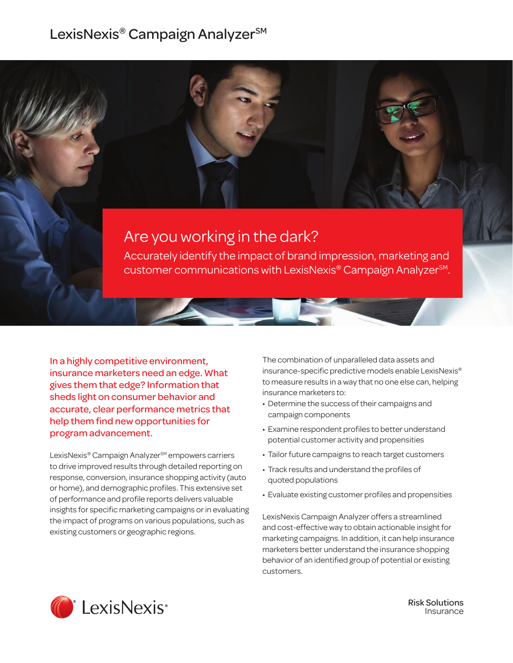## LexisNexis® Campaign Analyzer<sup>sM</sup>

# Are you working in the dark?

Accurately identify the impact of brand impression, marketing and customer communications with LexisNexis® Campaign AnalyzerSM.

In a highly competitive environment, insurance marketers need an edge. What gives them that edge? Information that sheds light on consumer behavior and accurate, clear performance metrics that help them find new opportunities for program advancement.

LexisNexis® Campaign Analyzer<sup>sM</sup> empowers carriers to drive improved results through detailed reporting on response, conversion, insurance shopping activity (auto or home), and demographic profiles. This extensive set of performance and profile reports delivers valuable insights for specific marketing campaigns or in evaluating the impact of programs on various populations, such as existing customers or geographic regions.

The combination of unparalleled data assets and insurance-specific predictive models enable LexisNexis® to measure results in a way that no one else can, helping insurance marketers to:

- Determine the success of their campaigns and campaign components
- Examine respondent profiles to better understand potential customer activity and propensities
- Tailor future campaigns to reach target customers
- Track results and understand the profiles of quoted populations
- Evaluate existing customer profiles and propensities

LexisNexis Campaign Analyzer offers a streamlined and cost-effective way to obtain actionable insight for marketing campaigns. In addition, it can help insurance marketers better understand the insurance shopping behavior of an identified group of potential or existing customers.



Risk Solutions Insurance